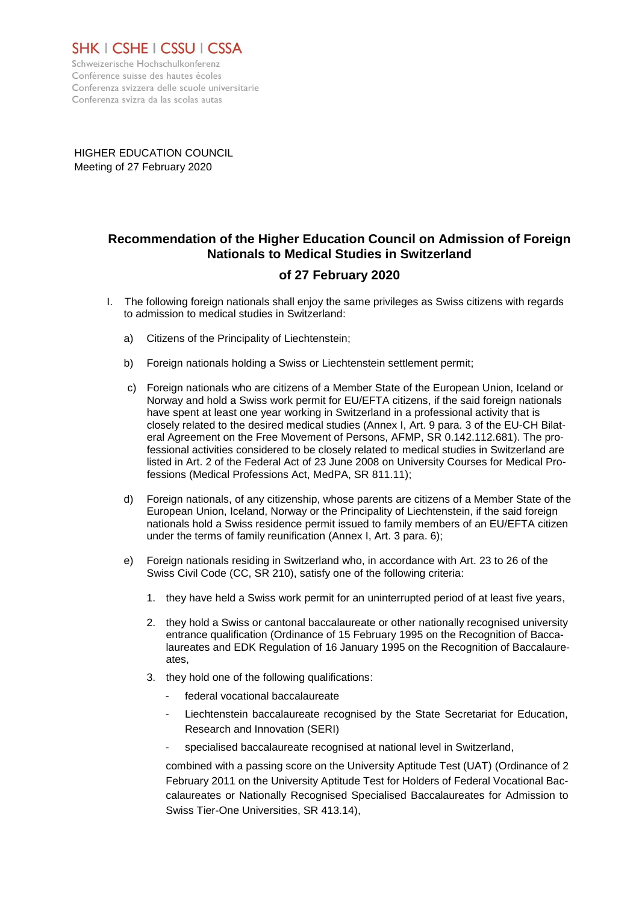

Schweizerische Hochschulkonferenz Conférence suisse des hautes écoles Conferenza svizzera delle scuole universitarie Conferenza svizra da las scolas autas

HIGHER EDUCATION COUNCIL Meeting of 27 February 2020

## **Recommendation of the Higher Education Council on Admission of Foreign Nationals to Medical Studies in Switzerland**

## **of 27 February 2020**

- I. The following foreign nationals shall enjoy the same privileges as Swiss citizens with regards to admission to medical studies in Switzerland:
	- a) Citizens of the Principality of Liechtenstein;
	- b) Foreign nationals holding a Swiss or Liechtenstein settlement permit;
	- c) Foreign nationals who are citizens of a Member State of the European Union, Iceland or Norway and hold a Swiss work permit for EU/EFTA citizens, if the said foreign nationals have spent at least one year working in Switzerland in a professional activity that is closely related to the desired medical studies (Annex I, Art. 9 para. 3 of the EU-CH Bilateral Agreement on the Free Movement of Persons, AFMP, SR 0.142.112.681). The professional activities considered to be closely related to medical studies in Switzerland are listed in Art. 2 of the Federal Act of 23 June 2008 on University Courses for Medical Professions (Medical Professions Act, MedPA, SR 811.11);
	- d) Foreign nationals, of any citizenship, whose parents are citizens of a Member State of the European Union, Iceland, Norway or the Principality of Liechtenstein, if the said foreign nationals hold a Swiss residence permit issued to family members of an EU/EFTA citizen under the terms of family reunification (Annex I, Art. 3 para. 6);
	- e) Foreign nationals residing in Switzerland who, in accordance with Art. 23 to 26 of the Swiss Civil Code (CC, SR 210), satisfy one of the following criteria:
		- 1. they have held a Swiss work permit for an uninterrupted period of at least five years,
		- 2. they hold a Swiss or cantonal baccalaureate or other nationally recognised university entrance qualification (Ordinance of 15 February 1995 on the Recognition of Baccalaureates and EDK Regulation of 16 January 1995 on the Recognition of Baccalaureates,
		- 3. they hold one of the following qualifications:
			- federal vocational baccalaureate
			- Liechtenstein baccalaureate recognised by the State Secretariat for Education, Research and Innovation (SERI)
			- specialised baccalaureate recognised at national level in Switzerland,

combined with a passing score on the University Aptitude Test (UAT) (Ordinance of 2 February 2011 on the University Aptitude Test for Holders of Federal Vocational Baccalaureates or Nationally Recognised Specialised Baccalaureates for Admission to Swiss Tier-One Universities, SR 413.14),